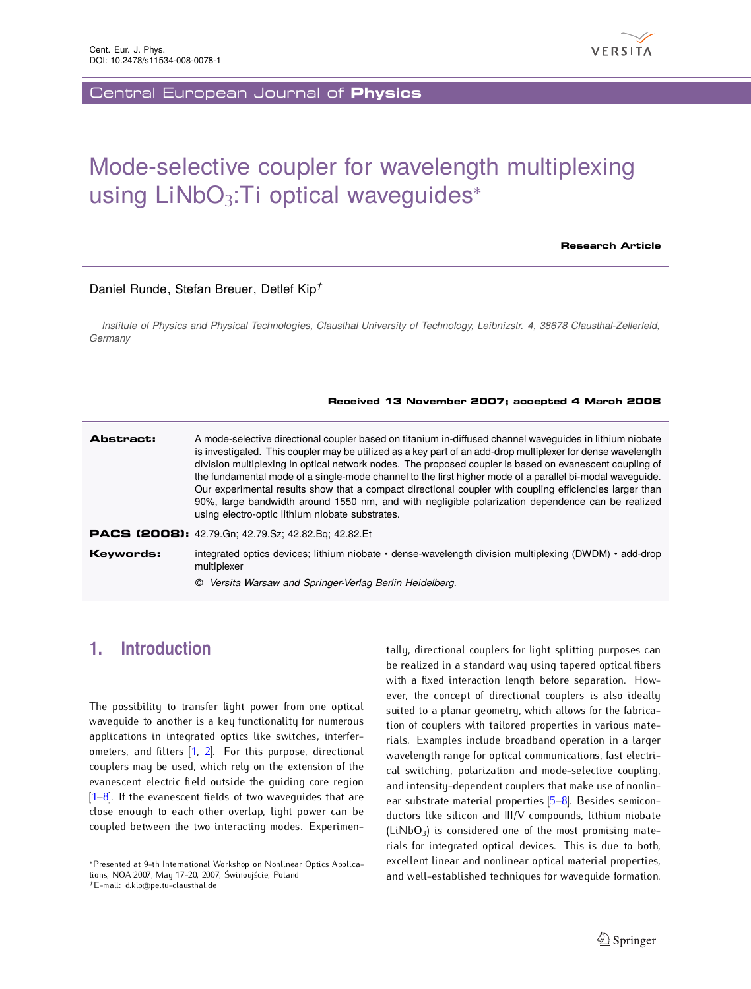

Central European Journal of **Physics**

# Mode-selective coupler for wavelength multiplexing using LiNbO<sub>3</sub>: Ti optical waveguides<sup>∗</sup>

**Research Article**

#### Daniel Runde, Stefan Breuer, Detlef Kip*†*

*Institute of Physics and Physical Technologies, Clausthal University of Technology, Leibnizstr. 4, 38678 Clausthal-Zellerfeld, Germany*

#### **Received 13 November 2007; accepted 4 March 2008**

#### **Abstract:** A mode-selective directional coupler based on titanium in-diffused channel waveguides in lithium niobate is investigated. This coupler may be utilized as a key part of an add-drop multiplexer for dense wavelength division multiplexing in optical network nodes. The proposed coupler is based on evanescent coupling of the fundamental mode of a single-mode channel to the first higher mode of a parallel bi-modal waveguide. Our experimental results show that a compact directional coupler with coupling efficiencies larger than 90%, large bandwidth around 1550 nm, and with negligible polarization dependence can be realized using electro-optic lithium niobate substrates. **PACS (2008):** 42.79.Gn; 42.79.Sz; 42.82.Bq; 42.82.Et **Keywords:** integrated optics devices; lithium niobate • dense-wavelength division multiplexing (DWDM) • add-drop multiplexer

© *Versita Warsaw and Springer-Verlag Berlin Heidelberg.*

# **1. Introduction**

The possibility to transfer light power from one optical waveguide to another is a key functionality for numerous applications in integrated optics like switches, interferometers, and filters [\[1,](#page-4-0) [2\]](#page-4-1). For this purpose, directional couplers may be used, which rely on the extension of the evanescent electric field outside the guiding core region  $[1–8]$  $[1–8]$ . If the evanescent fields of two waveguides that are close enough to each other overlap, light power can be coupled between the two interacting modes. Experimen-

tally, directional couplers for light splitting purposes can be realized in a standard way using tapered optical fibers with a fixed interaction length before separation. However, the concept of directional couplers is also ideally suited to a planar geometry, which allows for the fabrication of couplers with tailored properties in various materials. Examples include broadband operation in a larger wavelength range for optical communications, fast electrical switching, polarization and mode-selective coupling, and intensity-dependent couplers that make use of nonlin-ear substrate material properties [\[5](#page-4-3)-8]. Besides semiconductors like silicon and III/V compounds, lithium niobate  $(LiNbO<sub>3</sub>)$  is considered one of the most promising materials for integrated optical devices. This is due to both, excellent linear and nonlinear optical material properties, and well-established techniques for waveguide formation.

*<sup>∗</sup>*Presented at 9-th International Workshop on Nonlinear Optics Applications, NOA 2007, May 17-20, 2007, Świnoujście, Poland

*<sup>†</sup>*E-mail: d.kip@pe.tu-clausthal.de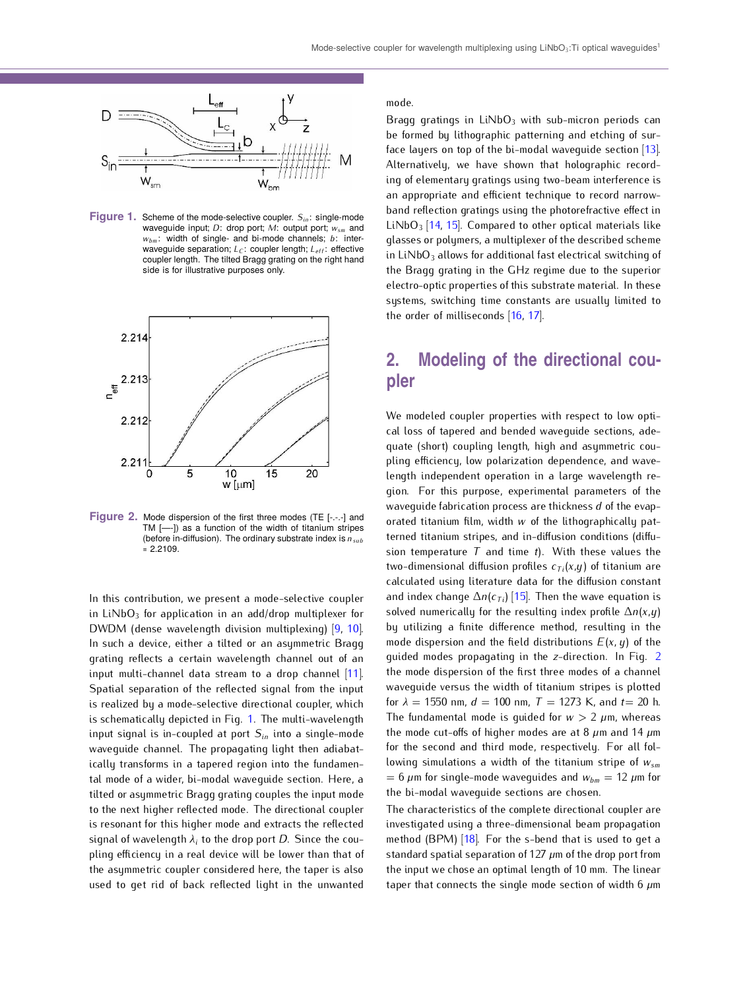

<span id="page-1-0"></span>**Figure 1.** Scheme of the mode-selective coupler. *Sin*: single-mode waveguide input; *D*: drop port; *M*: output port; *wsm* and *wbm*: width of single- and bi-mode channels; *b*: interwaveguide separation; *L<sub>C</sub>*: coupler length; *L<sub>eff</sub>*: effective coupler length. The tilted Bragg grating on the right hand side is for illustrative purposes only.



<span id="page-1-1"></span>**Figure 2.** Mode dispersion of the first three modes (TE [-.-.-] and TM [—-]) as a function of the width of titanium stripes (before in-diffusion). The ordinary substrate index is *nsub*  $= 2.2109$ .

In this contribution, we present a mode-selective coupler in LiNbO<sub>3</sub> for application in an add/drop multiplexer for DWDM (dense wavelength division multiplexing) [\[9,](#page-4-4) [10\]](#page-4-5). In such a device, either a tilted or an asymmetric Bragg grating reflects a certain wavelength channel out of an input multi-channel data stream to a drop channel [\[11\]](#page-4-6). Spatial separation of the reflected signal from the input is realized by a mode-selective directional coupler, which is schematically depicted in Fig. [1.](#page-1-0) The multi-wavelength input signal is in-coupled at port *Sin* into a single-mode waveguide channel. The propagating light then adiabatically transforms in a tapered region into the fundamental mode of a wider, bi-modal waveguide section. Here, a tilted or asymmetric Bragg grating couples the input mode to the next higher reflected mode. The directional coupler is resonant for this higher mode and extracts the reflected signal of wavelength *λ<sup>i</sup>* to the drop port *D*. Since the coupling efficiency in a real device will be lower than that of the asymmetric coupler considered here, the taper is also used to get rid of back reflected light in the unwanted

mode.

Bragg gratings in  $LiNbO<sub>3</sub>$  with sub-micron periods can be formed by lithographic patterning and etching of surface layers on top of the bi-modal waveguide section [\[13\]](#page-4-7). Alternatively, we have shown that holographic recording of elementary gratings using two-beam interference is an appropriate and efficient technique to record narrowband reflection gratings using the photorefractive effect in  $LiNbO<sub>3</sub>$  [\[14,](#page-4-8) [15\]](#page-4-9). Compared to other optical materials like glasses or polymers, a multiplexer of the described scheme in LiNbO<sub>3</sub> allows for additional fast electrical switching of the Bragg grating in the GHz regime due to the superior electro-optic properties of this substrate material. In these systems, switching time constants are usually limited to the order of milliseconds [\[16,](#page-4-10) [17\]](#page-4-11).

# **2. Modeling of the directional coupler**

We modeled coupler properties with respect to low optical loss of tapered and bended waveguide sections, adequate (short) coupling length, high and asymmetric coupling efficiency, low polarization dependence, and wavelength independent operation in a large wavelength region. For this purpose, experimental parameters of the waveguide fabrication process are thickness *d* of the evaporated titanium film, width *w* of the lithographically patterned titanium stripes, and in-diffusion conditions (diffusion temperature *T* and time *t*). With these values the two-dimensional diffusion profiles  $c_{Ti}(x,y)$  of titanium are calculated using literature data for the diffusion constant and index change  $\Delta n(c_{\tau i})$  [\[15\]](#page-4-9). Then the wave equation is solved numerically for the resulting index profile ∆*n*(*x*,*y*) by utilizing a finite difference method, resulting in the mode dispersion and the field distributions *E*(*x, y*) of the guided modes propagating in the *z*-direction. In Fig. [2](#page-1-1) the mode dispersion of the first three modes of a channel waveguide versus the width of titanium stripes is plotted for  $\lambda = 1550$  nm,  $d = 100$  nm,  $T = 1273$  K, and  $t = 20$  h. The fundamental mode is quided for  $w > 2 \mu m$ , whereas the mode cut-offs of higher modes are at 8 *µ*m and 14 *µ*m for the second and third mode, respectively. For all following simulations a width of the titanium stripe of *wsm*  $= 6 \mu$ m for single-mode waveguides and  $w_{bm} = 12 \mu$ m for the bi-modal waveguide sections are chosen.

The characteristics of the complete directional coupler are investigated using a three-dimensional beam propagation method (BPM) [\[18\]](#page-4-12). For the s-bend that is used to get a standard spatial separation of 127 *µ*m of the drop port from the input we chose an optimal length of 10 mm. The linear taper that connects the single mode section of width 6 *µ*m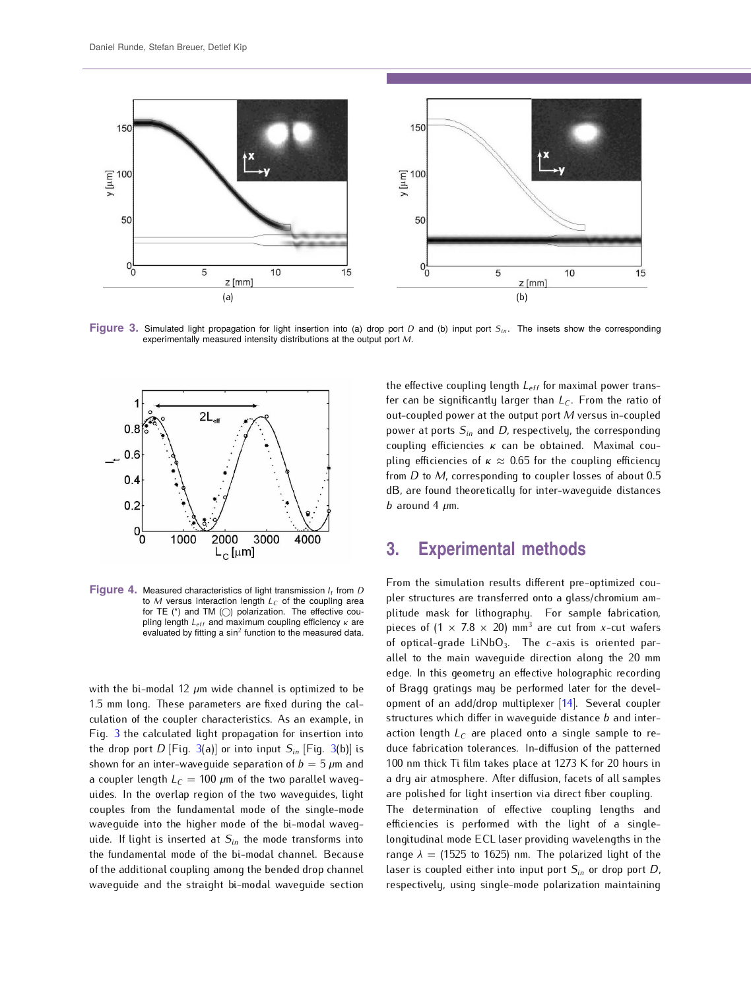

<span id="page-2-0"></span>**Figure 3.** Simulated light propagation for light insertion into (a) drop port *D* and (b) input port *Sin*. The insets show the corresponding experimentally measured intensity distributions at the output port *M*.



<span id="page-2-1"></span>**Figure 4.** Measured characteristics of light transmission *I<sup>t</sup>* from *D* to *M* versus interaction length *L<sup>C</sup>* of the coupling area for TE (\*) and TM () polarization. The effective coupling length *Leff* and maximum coupling efficiency *κ* are evaluated by fitting a  $sin^2$  function to the measured data.

with the bi-modal 12 *µ*m wide channel is optimized to be 1.5 mm long. These parameters are fixed during the calculation of the coupler characteristics. As an example, in Fig. [3](#page-2-0) the calculated light propagation for insertion into the drop port  $D$  [Fig. [3\(](#page-2-0)a)] or into input  $S_{in}$  [Fig. 3(b)] is shown for an inter-wavequide separation of  $b = 5 \mu m$  and a coupler length  $L_C = 100 \ \mu m$  of the two parallel waveguides. In the overlap region of the two waveguides, light couples from the fundamental mode of the single-mode waveguide into the higher mode of the bi-modal waveguide. If light is inserted at *Sin* the mode transforms into the fundamental mode of the bi-modal channel. Because of the additional coupling among the bended drop channel waveguide and the straight bi-modal waveguide section

the effective coupling length *Leff* for maximal power transfer can be significantly larger than *L<sup>C</sup>* . From the ratio of out-coupled power at the output port *M* versus in-coupled power at ports *Sin* and *D*, respectively, the corresponding coupling efficiencies *κ* can be obtained. Maximal coupling efficiencies of *κ ≈* 0.65 for the coupling efficiency from *D* to *M*, corresponding to coupler losses of about 0.5 dB, are found theoretically for inter-waveguide distances  *around 4*  $\mu$ *m.* 

### **3. Experimental methods**

From the simulation results different pre-optimized coupler structures are transferred onto a glass/chromium amplitude mask for lithography. For sample fabrication, pieces of  $(1 \times 7.8 \times 20)$  mm<sup>3</sup> are cut from *x*-cut wafers of optical-grade LiNbO<sub>3</sub>. The *c*-axis is oriented parallel to the main waveguide direction along the 20 mm edge. In this geometry an effective holographic recording of Bragg gratings may be performed later for the development of an add/drop multiplexer [\[14\]](#page-4-8). Several coupler structures which differ in waveguide distance *b* and interaction length *L<sup>C</sup>* are placed onto a single sample to reduce fabrication tolerances. In-diffusion of the patterned 100 nm thick Ti film takes place at 1273 K for 20 hours in a dry air atmosphere. After diffusion, facets of all samples are polished for light insertion via direct fiber coupling.

The determination of effective coupling lengths and efficiencies is performed with the light of a singlelongitudinal mode ECL laser providing wavelengths in the range  $\lambda = (1525 \text{ to } 1625)$  nm. The polarized light of the laser is coupled either into input port *Sin* or drop port *D*, respectively, using single-mode polarization maintaining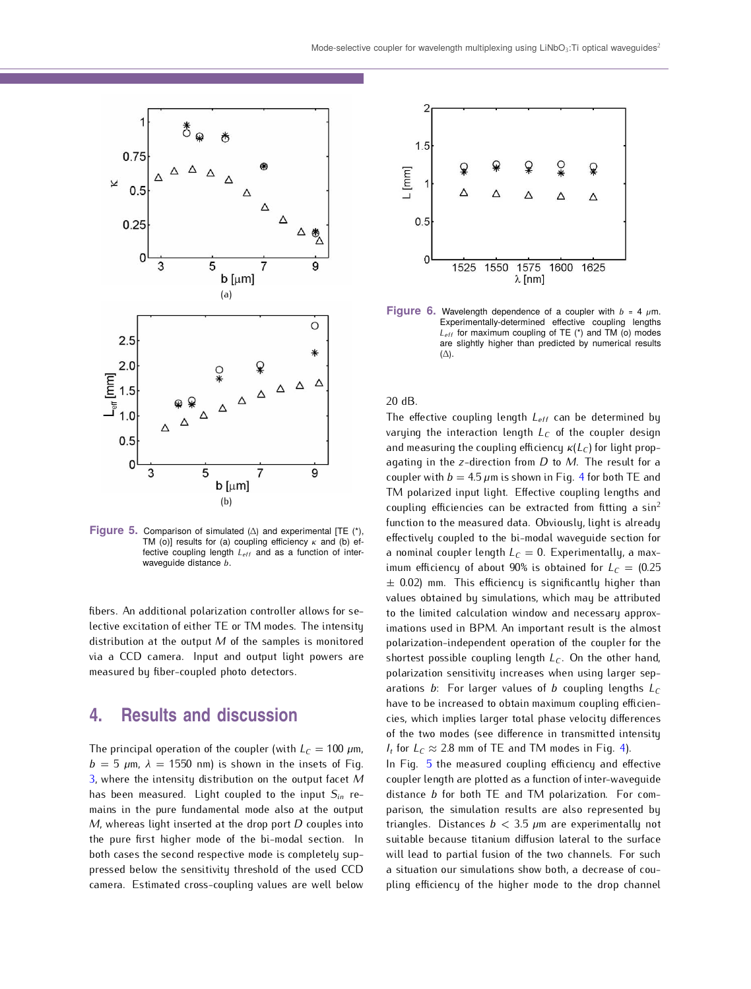

<span id="page-3-0"></span>**Figure 5.** Comparison of simulated (∆) and experimental [TE (\*), TM (o)] results for (a) coupling efficiency *κ* and (b) effective coupling length *Leff* and as a function of interwaveguide distance *b*.

fibers. An additional polarization controller allows for selective excitation of either TE or TM modes. The intensity distribution at the output *M* of the samples is monitored via a CCD camera. Input and output light powers are measured by fiber-coupled photo detectors.

### **4. Results and discussion**

The principal operation of the coupler (with  $L_C = 100 \ \mu m$ ,  $b = 5 \mu m$ ,  $\lambda = 1550 \text{ nm}$  is shown in the insets of Fig. [3,](#page-2-0) where the intensity distribution on the output facet *M* has been measured. Light coupled to the input *Sin* remains in the pure fundamental mode also at the output *M*, whereas light inserted at the drop port *D* couples into the pure first higher mode of the bi-modal section. In both cases the second respective mode is completely suppressed below the sensitivity threshold of the used CCD camera. Estimated cross-coupling values are well below



<span id="page-3-1"></span>**Figure 6.** Wavelength dependence of a coupler with  $b = 4 \mu m$ . Experimentally-determined effective coupling lengths *Leff* for maximum coupling of TE (\*) and TM (o) modes are slightly higher than predicted by numerical results  $(\Delta)$ .

20 dB.

The effective coupling length *Leff* can be determined by varying the interaction length *L<sup>C</sup>* of the coupler design and measuring the coupling efficiency *κ*(*L<sup>C</sup>* ) for light propagating in the *z*-direction from *D* to *M*. The result for a coupler with  $b = 4.5 \mu m$  $b = 4.5 \mu m$  $b = 4.5 \mu m$  is shown in Fig. 4 for both TE and TM polarized input light. Effective coupling lengths and coupling efficiencies can be extracted from fitting a  $sin^2$ function to the measured data. Obviously, light is already effectively coupled to the bi-modal waveguide section for a nominal coupler length  $L_C = 0$ . Experimentally, a maximum efficiency of about 90% is obtained for  $L_C = (0.25$ *±* 0.02) mm. This efficiency is significantly higher than values obtained by simulations, which may be attributed to the limited calculation window and necessary approximations used in BPM. An important result is the almost polarization-independent operation of the coupler for the shortest possible coupling length *L<sup>C</sup>* . On the other hand, polarization sensitivity increases when using larger separations *b*: For larger values of *b* coupling lengths *L<sup>C</sup>* have to be increased to obtain maximum coupling efficiencies, which implies larger total phase velocity differences of the two modes (see difference in transmitted intensity *I*<sup>*t*</sup> for  $L_c \approx 2.8$  mm of TE and TM modes in Fig. [4\)](#page-2-1).

In Fig. [5](#page-3-0) the measured coupling efficiency and effective coupler length are plotted as a function of inter-waveguide distance *b* for both TE and TM polarization. For comparison, the simulation results are also represented by triangles. Distances *b <* 3.5 *µ*m are experimentally not suitable because titanium diffusion lateral to the surface will lead to partial fusion of the two channels. For such a situation our simulations show both, a decrease of coupling efficiency of the higher mode to the drop channel